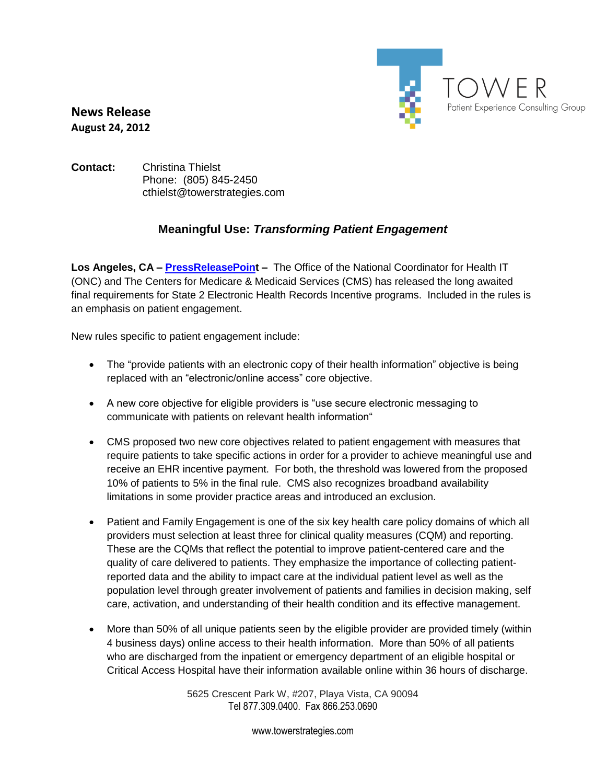

**News Release August 24, 2012**

## **Contact:** Christina Thielst Phone: (805) 845-2450 cthielst@towerstrategies.com

## **Meaningful Use:** *Transforming Patient Engagement*

**Los Angeles, CA – [PressReleasePoint](http://www.pressreleasepoint.com/node/609177) –** The Office of the National Coordinator for Health IT (ONC) and The Centers for Medicare & Medicaid Services (CMS) has released the long awaited final requirements for State 2 Electronic Health Records Incentive programs. Included in the rules is an emphasis on patient engagement.

New rules specific to patient engagement include:

- The "provide patients with an electronic copy of their health information" objective is being replaced with an "electronic/online access" core objective.
- A new core objective for eligible providers is "use secure electronic messaging to communicate with patients on relevant health information"
- CMS proposed two new core objectives related to patient engagement with measures that require patients to take specific actions in order for a provider to achieve meaningful use and receive an EHR incentive payment. For both, the threshold was lowered from the proposed 10% of patients to 5% in the final rule. CMS also recognizes broadband availability limitations in some provider practice areas and introduced an exclusion.
- Patient and Family Engagement is one of the six key health care policy domains of which all providers must selection at least three for clinical quality measures (CQM) and reporting. These are the CQMs that reflect the potential to improve patient-centered care and the quality of care delivered to patients. They emphasize the importance of collecting patientreported data and the ability to impact care at the individual patient level as well as the population level through greater involvement of patients and families in decision making, self care, activation, and understanding of their health condition and its effective management.
- More than 50% of all unique patients seen by the eligible provider are provided timely (within 4 business days) online access to their health information. More than 50% of all patients who are discharged from the inpatient or emergency department of an eligible hospital or Critical Access Hospital have their information available online within 36 hours of discharge.

5625 Crescent Park W, #207, Playa Vista, CA 90094 Tel 877.309.0400. Fax 866.253.0690

www.towerstrategies.com